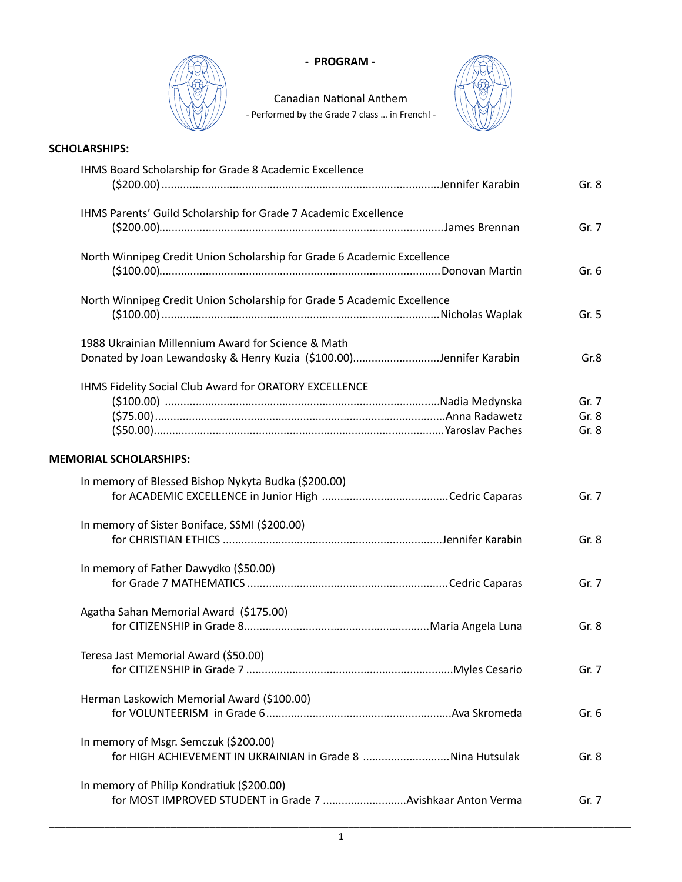

## - PROGRAM -

Canadian National Anthem - Performed by the Grade 7 class ... in French! -



## **SCHOLARSHIPS:**

| IHMS Board Scholarship for Grade 8 Academic Excellence                                              | Gr. 8   |
|-----------------------------------------------------------------------------------------------------|---------|
| IHMS Parents' Guild Scholarship for Grade 7 Academic Excellence                                     |         |
|                                                                                                     | Gr. 7   |
| North Winnipeg Credit Union Scholarship for Grade 6 Academic Excellence                             | Gr. 6   |
| North Winnipeg Credit Union Scholarship for Grade 5 Academic Excellence                             | Gr. 5   |
| 1988 Ukrainian Millennium Award for Science & Math                                                  |         |
| Donated by Joan Lewandosky & Henry Kuzia (\$100.00)Jennifer Karabin                                 | Gr.8    |
| IHMS Fidelity Social Club Award for ORATORY EXCELLENCE                                              |         |
|                                                                                                     | Gr. 7   |
|                                                                                                     | Gr. 8   |
|                                                                                                     | Gr. 8   |
| <b>MEMORIAL SCHOLARSHIPS:</b>                                                                       |         |
| In memory of Blessed Bishop Nykyta Budka (\$200.00)                                                 |         |
|                                                                                                     | Gr. 7   |
| In memory of Sister Boniface, SSMI (\$200.00)                                                       |         |
|                                                                                                     | Gr. 8   |
| In memory of Father Dawydko (\$50.00)                                                               |         |
|                                                                                                     | Gr. 7   |
| Agatha Sahan Memorial Award (\$175.00)                                                              |         |
|                                                                                                     | Gr. $8$ |
| Teresa Jast Memorial Award (\$50.00)                                                                |         |
|                                                                                                     | Gr. 7   |
| Herman Laskowich Memorial Award (\$100.00)                                                          |         |
|                                                                                                     | Gr. 6   |
|                                                                                                     |         |
| In memory of Msgr. Semczuk (\$200.00)<br>for HIGH ACHIEVEMENT IN UKRAINIAN in Grade 8 Nina Hutsulak | Gr. 8   |
|                                                                                                     |         |
| In memory of Philip Kondratiuk (\$200.00)                                                           |         |
| for MOST IMPROVED STUDENT in Grade 7 Avishkaar Anton Verma                                          | Gr. 7   |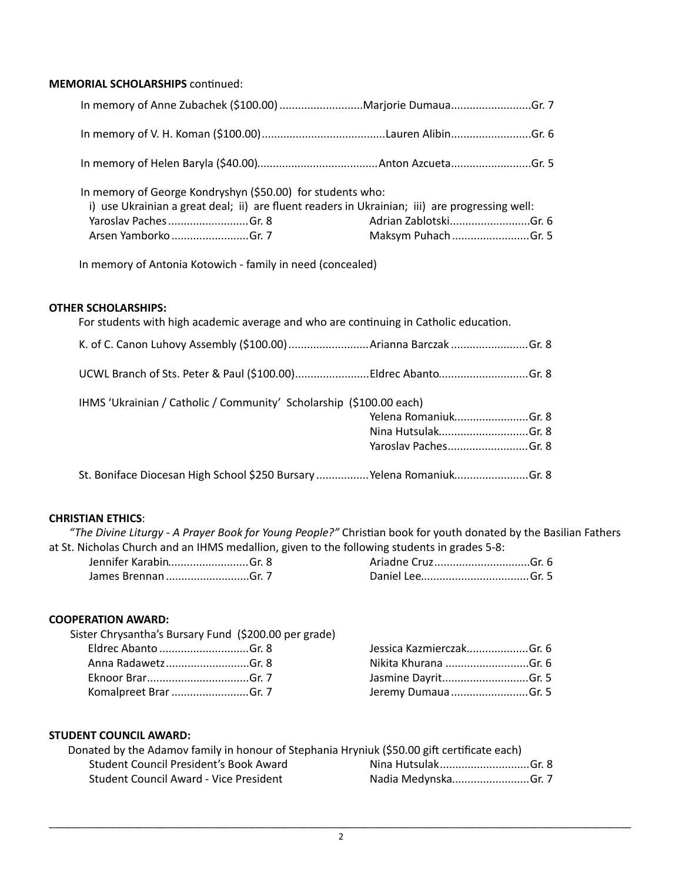#### **MEMORIAL SCHOLARSHIPS** continued:

| In memory of George Kondryshyn (\$50.00) for students who:<br>i) use Ukrainian a great deal; ii) are fluent readers in Ukrainian; iii) are progressing well:<br>Yaroslav PachesGr. 8<br>Arsen Yamborko Gr. 7 | Adrian ZablotskiGr. 6 |  |
|--------------------------------------------------------------------------------------------------------------------------------------------------------------------------------------------------------------|-----------------------|--|

In memory of Antonia Kotowich - family in need (concealed)

## **OTHER SCHOLARSHIPS:**

| For students with high academic average and who are continuing in Catholic education. |                      |  |
|---------------------------------------------------------------------------------------|----------------------|--|
|                                                                                       |                      |  |
| UCWL Branch of Sts. Peter & Paul (\$100.00)Eldrec AbantoGr. 8                         |                      |  |
| IHMS 'Ukrainian / Catholic / Community' Scholarship (\$100.00 each)                   |                      |  |
|                                                                                       | Yelena RomaniukGr. 8 |  |
|                                                                                       |                      |  |
|                                                                                       | Nina HutsulakGr. 8   |  |

## **CHRISTIAN ETHICS**:

"The Divine Liturgy - A Prayer Book for Young People?" Christian book for youth donated by the Basilian Fathers at St. Nicholas Church and an IHMS medallion, given to the following students in grades 5-8:

| Jennifer KarabinGr. 8 |  |
|-----------------------|--|
| James Brennan Gr. 7   |  |

# **COOPERATION AWARD:**

| Sister Chrysantha's Bursary Fund (\$200.00 per grade) |                          |  |
|-------------------------------------------------------|--------------------------|--|
| Eldrec Abanto Gr. 8                                   | Jessica KazmierczakGr. 6 |  |
| Anna RadawetzGr. 8                                    | Nikita Khurana Gr. 6     |  |
|                                                       | Jasmine DayritGr. 5      |  |
| Komalpreet Brar Gr. 7                                 | Jeremy DumauaGr. 5       |  |

#### **STUDENT COUNCIL AWARD:**

|                                        | Donated by the Adamov family in honour of Stephania Hryniuk (\$50.00 gift certificate each) |
|----------------------------------------|---------------------------------------------------------------------------------------------|
| Student Council President's Book Award | Nina HutsulakGr. 8                                                                          |
| Student Council Award - Vice President | Nadia MedynskaGr. 7                                                                         |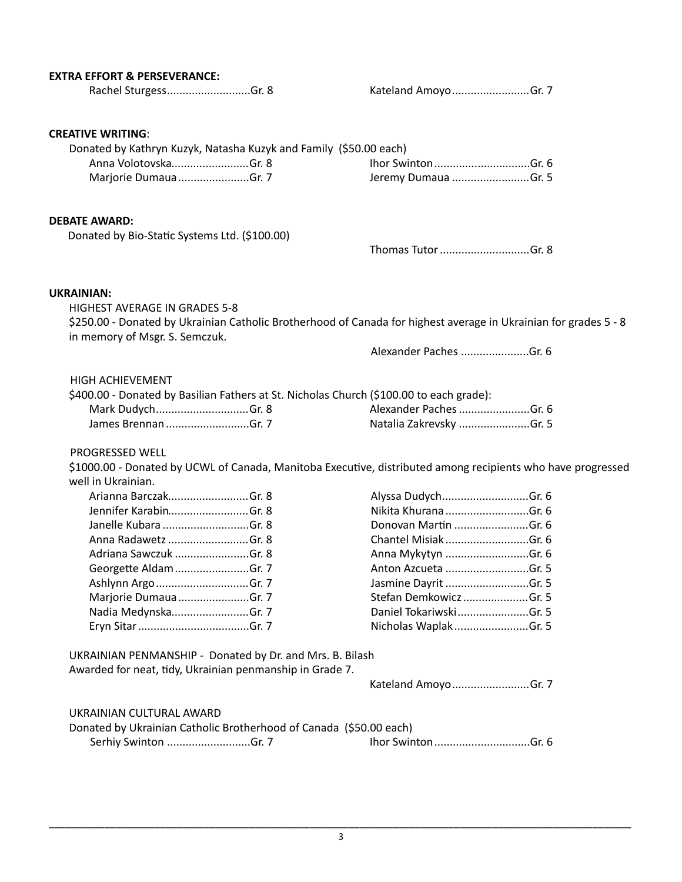| <b>EXTRA EFFORT &amp; PERSEVERANCE:</b>                                                                                                            |                         |
|----------------------------------------------------------------------------------------------------------------------------------------------------|-------------------------|
| Rachel SturgessGr. 8                                                                                                                               | Kateland Amoyo Gr. 7    |
|                                                                                                                                                    |                         |
| <b>CREATIVE WRITING:</b>                                                                                                                           |                         |
| Donated by Kathryn Kuzyk, Natasha Kuzyk and Family (\$50.00 each)                                                                                  |                         |
| Anna VolotovskaGr. 8                                                                                                                               |                         |
| Marjorie DumauaGr. 7                                                                                                                               | Jeremy Dumaua Gr. 5     |
| <b>DEBATE AWARD:</b>                                                                                                                               |                         |
| Donated by Bio-Static Systems Ltd. (\$100.00)                                                                                                      |                         |
|                                                                                                                                                    | Thomas Tutor Gr. 8      |
| <b>UKRAINIAN:</b>                                                                                                                                  |                         |
| <b>HIGHEST AVERAGE IN GRADES 5-8</b>                                                                                                               |                         |
| \$250.00 - Donated by Ukrainian Catholic Brotherhood of Canada for highest average in Ukrainian for grades 5 - 8<br>in memory of Msgr. S. Semczuk. |                         |
|                                                                                                                                                    | Alexander Paches Gr. 6  |
| <b>HIGH ACHIEVEMENT</b>                                                                                                                            |                         |
| \$400.00 - Donated by Basilian Fathers at St. Nicholas Church (\$100.00 to each grade):                                                            |                         |
| Mark DudychGr. 8                                                                                                                                   | Alexander Paches Gr. 6  |
| James Brennan Gr. 7                                                                                                                                | Natalia Zakrevsky Gr. 5 |
| PROGRESSED WELL                                                                                                                                    |                         |
| \$1000.00 - Donated by UCWL of Canada, Manitoba Executive, distributed among recipients who have progressed                                        |                         |
| well in Ukrainian.                                                                                                                                 |                         |
| Arianna BarczakGr. 8                                                                                                                               | Alyssa DudychGr. 6      |
| Jennifer KarabinGr. 8                                                                                                                              |                         |
| Janelle Kubara Gr. 8                                                                                                                               | Donovan Martin Gr. 6    |
| Anna Radawetz Gr. 8                                                                                                                                | Chantel MisiakGr. 6     |
| Adriana Sawczuk Gr. 8                                                                                                                              | Anna Mykytyn Gr. 6      |
| Georgette Aldam Gr. 7                                                                                                                              | Anton Azcueta Gr. 5     |
| Ashlynn Argo Gr. 7                                                                                                                                 | Jasmine Dayrit Gr. 5    |
| Marjorie DumauaGr. 7                                                                                                                               | Stefan Demkowicz Gr. 5  |
| Nadia MedynskaGr. 7                                                                                                                                | Daniel TokariwskiGr. 5  |
|                                                                                                                                                    | Nicholas Waplak Gr. 5   |
| UKRAINIAN PENMANSHIP - Donated by Dr. and Mrs. B. Bilash                                                                                           |                         |
| Awarded for neat, tidy, Ukrainian penmanship in Grade 7.                                                                                           |                         |
|                                                                                                                                                    | Kateland AmoyoGr. 7     |
| UKRAINIAN CULTURAL AWARD                                                                                                                           |                         |
| Donated by Ukrainian Catholic Brotherhood of Canada (\$50.00 each)                                                                                 |                         |
| Serhiy Swinton Gr. 7                                                                                                                               |                         |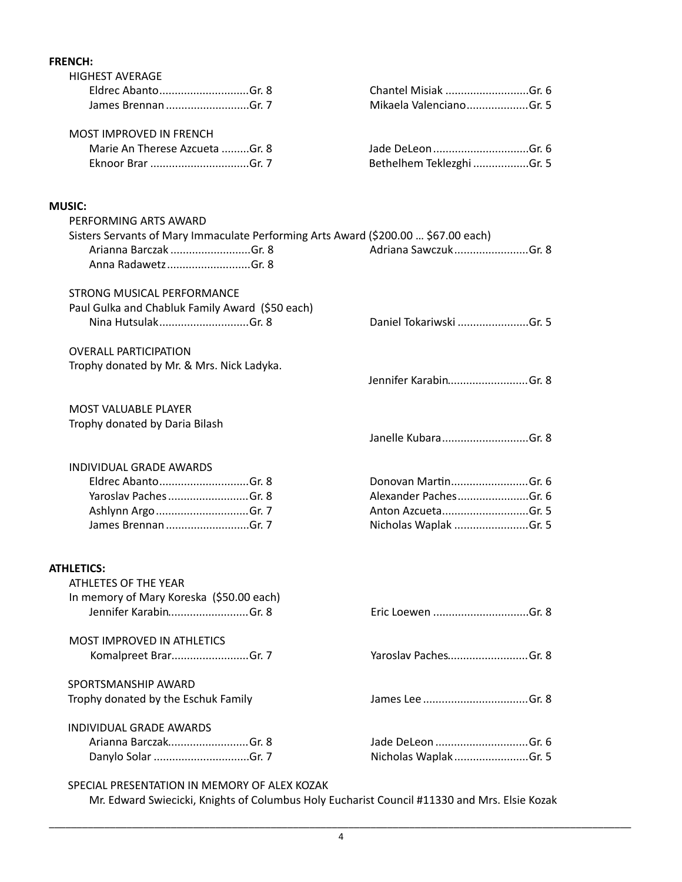# **FRENCH:**  HIGHEST AVERAGE Eldrec Abanto Gr. 8 Chantel Misiak ............................. Gr. 6 ........................... James Brennan Gr. 7 Mikaela Valenciano ........................... Gr. 5 .................... MOST IMPROVED IN FRENCH Marie An Therese Azcueta Gr. 8 Jade DeLeon Gr. 6 ......... ............................... Eknoor Brar Gr. 7 Bethelhem Teklezghi Gr. 5 ................................ .................. **MUSIC:** PERFORMING ARTS AWARD Sisters Servants of Mary Immaculate Performing Arts Award (\$200.00 ... \$67.00 each) Arianna Barczak ..............................Gr. 8 (1898) Adriana Sawczuk .................................. Anna Radawetz .................................Gr. 8 STRONG MUSICAL PERFORMANCE Paul Gulka and Chabluk Family Award (\$50 each) Nina Hutsulak Gr. 8 Daniel Tokariwski Gr. 5 ............................. ....................... OVERALL PARTICIPATION Trophy donated by Mr. & Mrs. Nick Ladyka. Jennifer Karabin................................Gr. 8 MOST VALUABLE PLAYER Trophy donated by Daria Bilash Janelle Kubara Gr. 8 ............................ INDIVIDUAL GRADE AWARDS Eldrec Abanto Gr. 8 Donovan Mar(n Gr. 6 ............................. ......................... Yaroslav Paches Gr. 8 Alexander Paches .......................... Gr. 6 ....................... Ashlynn Argo Gr. 7 Anton Azcueta .............................. Gr. 5 ............................ James Brennan ............................Gr. 7 **Nicholas Waplak .........................**.Gr. 5 **ATHLETICS:**  ATHLETES OF THE YEAR In memory of Mary Koreska (\$50.00 each) Jennifer Karabin Gr. 8 Eric Loewen .......................... Gr. 8 ............................... MOST IMPROVED IN ATHLETICS Komalpreet Brar Gr. 7 Yaroslav Paches ......................... .......................... Gr. 8 SPORTSMANSHIP AWARD Trophy donated by the Eschuk Family James Lee Gr. 8 .................................. INDIVIDUAL GRADE AWARDS Arianna Barczak Gr. 8 Jade DeLeon .......................... Gr. 6 .............................. Danylo Solar Gr. 7 Nicholas Waplak ............................... Gr. 5 ........................

#### SPECIAL PRESENTATION IN MEMORY OF ALEX KOZAK

Mr. Edward Swiecicki, Knights of Columbus Holy Eucharist Council #11330 and Mrs. Elsie Kozak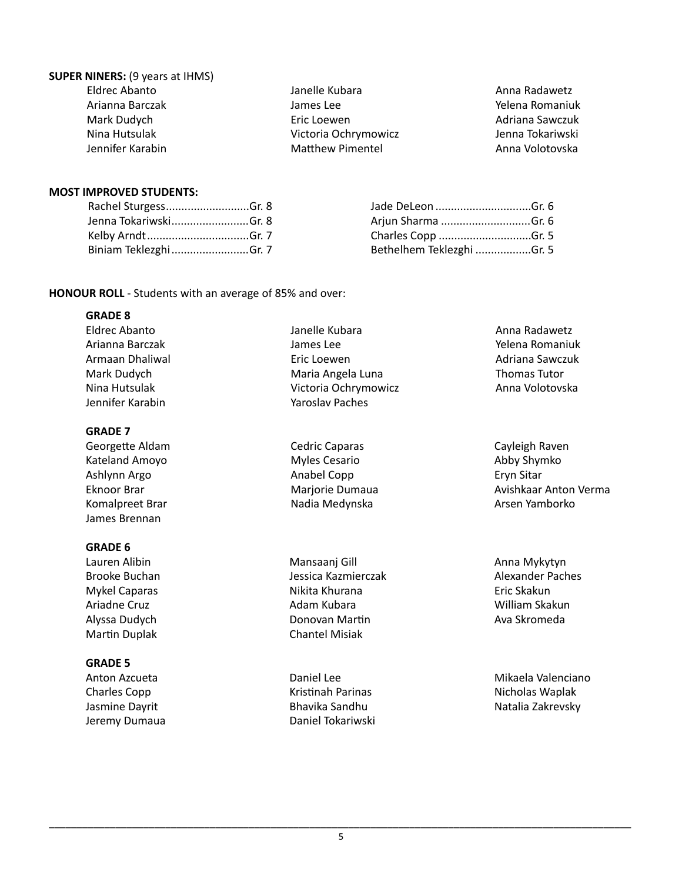## **SUPER NINERS:** (9 years at IHMS)

| Eldrec Abanto    |  |  |
|------------------|--|--|
| Arianna Barczak  |  |  |
| Mark Dudych      |  |  |
| Nina Hutsulak    |  |  |
| Jennifer Karabin |  |  |

Janelle Kubara James Lee Eric Loewen Victoria Ochrymowicz Matthew Pimentel

Anna Radawetz Yelena Romaniuk Adriana Sawczuk Jenna Tokariwski Anna Volotovska

#### **MOST IMPROVED STUDENTS:**

| Rachel SturgessGr. 8  |  |
|-----------------------|--|
| Jenna TokariwskiGr. 8 |  |
| Kelby ArndtGr. 7      |  |
| Biniam TeklezghiGr. 7 |  |

| Arjun Sharma Gr. 6        |  |
|---------------------------|--|
|                           |  |
| Bethelhem Teklezghi Gr. 5 |  |

**HONOUR ROLL** - Students with an average of 85% and over:

#### **GRADE 8**

Eldrec Abanto Arianna Barczak Armaan Dhaliwal Mark Dudych Nina Hutsulak Jennifer Karabin Janelle Kubara James Lee Eric Loewen Maria Angela Luna Victoria Ochrymowicz Yaroslav Paches 

#### **GRADE 7** Georgette Aldam

Kateland Amoyo Ashlynn Argo Eknoor Brar Komalpreet Brar James Brennan

## **GRADE 6**

Lauren Alibin Brooke Buchan Mykel Caparas Ariadne Cruz Alyssa Dudych Martin Duplak

## **GRADE 5**

Anton Azcueta Charles Copp Jasmine Dayrit Jeremy Dumaua

Myles Cesario Anabel Copp Marjorie Dumaua Nadia Medynska 

Cedric Caparas 

Mansaanj Gill Jessica Kazmierczak Nikita Khurana Adam Kubara Donovan Martin Chantel Misiak

Daniel Lee Kristinah Parinas Bhavika Sandhu Daniel Tokariwski  Anna Radawetz Yelena Romaniuk Adriana Sawczuk Thomas Tutor Anna Volotovska

Cayleigh Raven Abby Shymko Eryn Sitar Avishkaar Anton Verma Arsen Yamborko

Anna Mykytyn Alexander Paches Eric Skakun William Skakun Ava Skromeda

Mikaela Valenciano Nicholas Waplak Natalia Zakrevsky